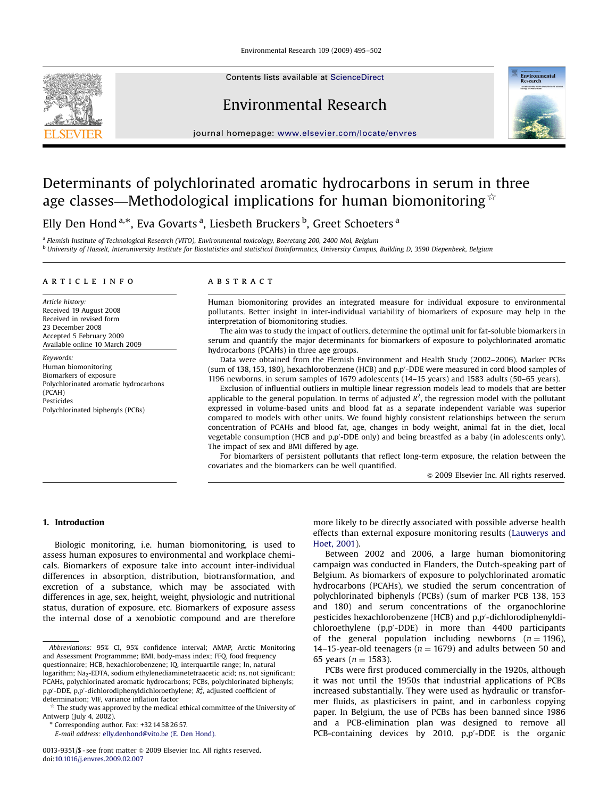Environmental Research 109 (2009) 495–502

Contents lists available at [ScienceDirect](www.sciencedirect.com/science/journal/yenrs)

# Environmental Research





## Determinants of polychlorinated aromatic hydrocarbons in serum in three age classes—Methodological implications for human biomonitoring  $\dot{x}$

Elly Den Hond <sup>a,\*</sup>, Eva Govarts <sup>a</sup>, Liesbeth Bruckers <sup>b</sup>, Greet Schoeters <sup>a</sup>

<sup>a</sup> Flemish Institute of Technological Research (VITO), Environmental toxicology, Boeretang 200, 2400 Mol, Belgium **b University of Hasselt, Interuniversity Institute for Biostatistics and statistical Bioinformatics, University Campus, Building D, 3590 Diepenbeek, Belgium** 

## article info

Article history: Received 19 August 2008 Received in revised form 23 December 2008 Accepted 5 February 2009 Available online 10 March 2009

Keywords: Human biomonitoring Biomarkers of exposure Polychlorinated aromatic hydrocarbons (PCAH) Pesticides Polychlorinated biphenyls (PCBs)

## ABSTRACT

Human biomonitoring provides an integrated measure for individual exposure to environmental pollutants. Better insight in inter-individual variability of biomarkers of exposure may help in the interpretation of biomonitoring studies.

The aim was to study the impact of outliers, determine the optimal unit for fat-soluble biomarkers in serum and quantify the major determinants for biomarkers of exposure to polychlorinated aromatic hydrocarbons (PCAHs) in three age groups.

Data were obtained from the Flemish Environment and Health Study (2002–2006). Marker PCBs (sum of 138, 153, 180), hexachlorobenzene (HCB) and p,p'-DDE were measured in cord blood samples of 1196 newborns, in serum samples of 1679 adolescents (14–15 years) and 1583 adults (50–65 years).

Exclusion of influential outliers in multiple linear regression models lead to models that are better applicable to the general population. In terms of adjusted  $R^2$ , the regression model with the pollutant expressed in volume-based units and blood fat as a separate independent variable was superior compared to models with other units. We found highly consistent relationships between the serum concentration of PCAHs and blood fat, age, changes in body weight, animal fat in the diet, local vegetable consumption (HCB and p,p'-DDE only) and being breastfed as a baby (in adolescents only). The impact of sex and BMI differed by age.

For biomarkers of persistent pollutants that reflect long-term exposure, the relation between the covariates and the biomarkers can be well quantified.

 $©$  2009 Elsevier Inc. All rights reserved.

## 1. Introduction

Biologic monitoring, i.e. human biomonitoring, is used to assess human exposures to environmental and workplace chemicals. Biomarkers of exposure take into account inter-individual differences in absorption, distribution, biotransformation, and excretion of a substance, which may be associated with differences in age, sex, height, weight, physiologic and nutritional status, duration of exposure, etc. Biomarkers of exposure assess the internal dose of a xenobiotic compound and are therefore

Corresponding author. Fax: +32 14 58 26 57.

E-mail address: [elly.denhond@vito.be \(E. Den Hond\).](mailto:elly.denhond@vito.be)

more likely to be directly associated with possible adverse health effects than external exposure monitoring results [\(Lauwerys and](#page-7-0) [Hoet, 2001\)](#page-7-0).

Between 2002 and 2006, a large human biomonitoring campaign was conducted in Flanders, the Dutch-speaking part of Belgium. As biomarkers of exposure to polychlorinated aromatic hydrocarbons (PCAHs), we studied the serum concentration of polychlorinated biphenyls (PCBs) (sum of marker PCB 138, 153 and 180) and serum concentrations of the organochlorine pesticides hexachlorobenzene (HCB) and p,p'-dichlorodiphenyldi $chloroethylene$   $(p,p'-DDE)$  in more than 4400 participants of the general population including newborns ( $n = 1196$ ), 14–15-year-old teenagers ( $n = 1679$ ) and adults between 50 and 65 years ( $n = 1583$ ).

PCBs were first produced commercially in the 1920s, although it was not until the 1950s that industrial applications of PCBs increased substantially. They were used as hydraulic or transformer fluids, as plasticisers in paint, and in carbonless copying paper. In Belgium, the use of PCBs has been banned since 1986 and a PCB-elimination plan was designed to remove all PCB-containing devices by 2010. p,p'-DDE is the organic

Abbreviations: 95% CI, 95% confidence interval; AMAP, Arctic Monitoring and Assessment Programmme; BMI, body-mass index; FFQ, food frequency questionnaire; HCB, hexachlorobenzene; IQ, interquartile range; ln, natural logarithm; Na<sub>2</sub>-EDTA, sodium ethylenediaminetetraacetic acid; ns, not significant; PCAHs, polychlorinated aromatic hydrocarbons; PCBs, polychlorinated biphenyls; p,p'-DDE, p,p'-dichlorodiphenyldichloroethylene;  $R_a^2$ , adjusted coefficient of determination; VIF, variance inflation factor

The study was approved by the medical ethical committee of the University of Antwerp (July 4, 2002).

<sup>0013-9351/\$ -</sup> see front matter  $\circ$  2009 Elsevier Inc. All rights reserved. doi:[10.1016/j.envres.2009.02.007](dx.doi.org/10.1016/j.envres.2009.02.007)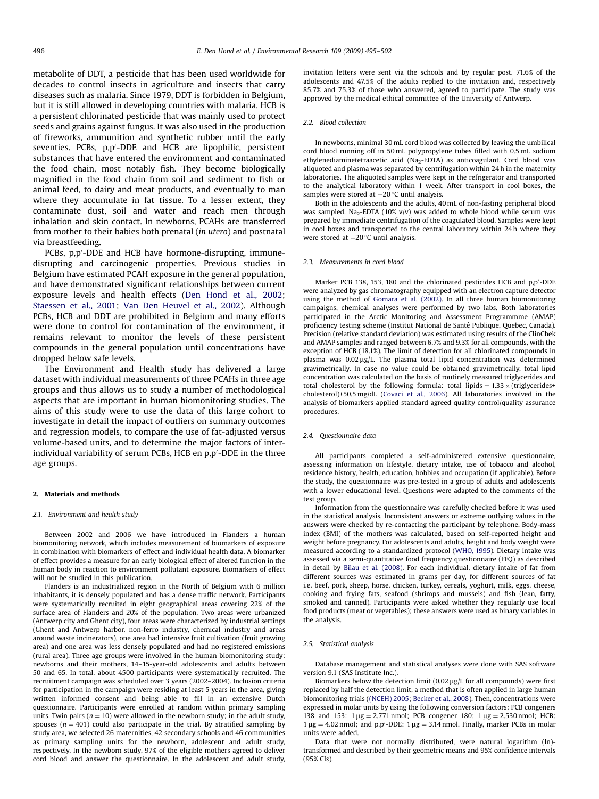metabolite of DDT, a pesticide that has been used worldwide for decades to control insects in agriculture and insects that carry diseases such as malaria. Since 1979, DDT is forbidden in Belgium, but it is still allowed in developing countries with malaria. HCB is a persistent chlorinated pesticide that was mainly used to protect seeds and grains against fungus. It was also used in the production of fireworks, ammunition and synthetic rubber until the early seventies. PCBs, p,p'-DDE and HCB are lipophilic, persistent substances that have entered the environment and contaminated the food chain, most notably fish. They become biologically magnified in the food chain from soil and sediment to fish or animal feed, to dairy and meat products, and eventually to man where they accumulate in fat tissue. To a lesser extent, they contaminate dust, soil and water and reach men through inhalation and skin contact. In newborns, PCAHs are transferred from mother to their babies both prenatal (in utero) and postnatal via breastfeeding.

PCBs, p,p'-DDE and HCB have hormone-disrupting, immunedisrupting and carcinogenic properties. Previous studies in Belgium have estimated PCAH exposure in the general population, and have demonstrated significant relationships between current exposure levels and health effects [\(Den Hond et al., 2002;](#page-7-0) [Staessen et al., 2001;](#page-7-0) [Van Den Heuvel et al., 2002](#page-7-0)). Although PCBs, HCB and DDT are prohibited in Belgium and many efforts were done to control for contamination of the environment, it remains relevant to monitor the levels of these persistent compounds in the general population until concentrations have dropped below safe levels.

The Environment and Health study has delivered a large dataset with individual measurements of three PCAHs in three age groups and thus allows us to study a number of methodological aspects that are important in human biomonitoring studies. The aims of this study were to use the data of this large cohort to investigate in detail the impact of outliers on summary outcomes and regression models, to compare the use of fat-adjusted versus volume-based units, and to determine the major factors of interindividual variability of serum PCBs, HCB en p,p'-DDE in the three age groups.

#### 2. Materials and methods

#### 2.1. Environment and health study

Between 2002 and 2006 we have introduced in Flanders a human biomonitoring network, which includes measurement of biomarkers of exposure in combination with biomarkers of effect and individual health data. A biomarker of effect provides a measure for an early biological effect of altered function in the human body in reaction to environment pollutant exposure. Biomarkers of effect will not be studied in this publication.

Flanders is an industrialized region in the North of Belgium with 6 million inhabitants, it is densely populated and has a dense traffic network. Participants were systematically recruited in eight geographical areas covering 22% of the surface area of Flanders and 20% of the population. Two areas were urbanized (Antwerp city and Ghent city), four areas were characterized by industrial settings (Ghent and Antwerp harbor, non-ferro industry, chemical industry and areas around waste incinerators), one area had intensive fruit cultivation (fruit growing area) and one area was less densely populated and had no registered emissions (rural area). Three age groups were involved in the human biomonitoring study: newborns and their mothers, 14–15-year-old adolescents and adults between 50 and 65. In total, about 4500 participants were systematically recruited. The recruitment campaign was scheduled over 3 years (2002–2004). Inclusion criteria for participation in the campaign were residing at least 5 years in the area, giving written informed consent and being able to fill in an extensive Dutch questionnaire. Participants were enrolled at random within primary sampling units. Twin pairs ( $n = 10$ ) were allowed in the newborn study; in the adult study, spouses ( $n = 401$ ) could also participate in the trial. By stratified sampling by study area, we selected 26 maternities, 42 secondary schools and 46 communities as primary sampling units for the newborn, adolescent and adult study, respectively. In the newborn study, 97% of the eligible mothers agreed to deliver cord blood and answer the questionnaire. In the adolescent and adult study, invitation letters were sent via the schools and by regular post. 71.6% of the adolescents and 47.5% of the adults replied to the invitation and, respectively 85.7% and 75.3% of those who answered, agreed to participate. The study was approved by the medical ethical committee of the University of Antwerp.

#### 2.2. Blood collection

In newborns, minimal 30 mL cord blood was collected by leaving the umbilical cord blood running off in 50 mL polypropylene tubes filled with 0.5 mL sodium ethylenediaminetetraacetic acid (Na<sub>2</sub>-EDTA) as anticoagulant. Cord blood was aliquoted and plasma was separated by centrifugation within 24 h in the maternity laboratories. The aliquoted samples were kept in the refrigerator and transported to the analytical laboratory within 1 week. After transport in cool boxes, the samples were stored at  $-20$  °C until analysis.

Both in the adolescents and the adults, 40 mL of non-fasting peripheral blood was sampled. Na<sub>2</sub>-EDTA (10% v/v) was added to whole blood while serum was prepared by immediate centrifugation of the coagulated blood. Samples were kept in cool boxes and transported to the central laboratory within 24 h where they were stored at  $-20$  °C until analysis.

#### 2.3. Measurements in cord blood

Marker PCB 138, 153, 180 and the chlorinated pesticides HCB and p,p'-DDE were analyzed by gas chromatography equipped with an electron capture detector using the method of [Gomara et al. \(2002\)](#page-7-0). In all three human biomonitoring campaigns, chemical analyses were performed by two labs. Both laboratories participated in the Arctic Monitoring and Assessment Programmme (AMAP) proficiency testing scheme (Institut National de Santé Publique, Quebec, Canada). Precision (relative standard deviation) was estimated using results of the ClinChek and AMAP samples and ranged between 6.7% and 9.3% for all compounds, with the exception of HCB (18.1%). The limit of detection for all chlorinated compounds in plasma was  $0.02 \mu g/L$ . The plasma total lipid concentration was determined gravimetrically. In case no value could be obtained gravimetrically, total lipid concentration was calculated on the basis of routinely measured triglycerides and total cholesterol by the following formula: total lipids =  $1.33 \times$  (triglycerides+ cholesterol)+50.5 mg/dL [\(Covaci et al., 2006\)](#page-7-0). All laboratories involved in the analysis of biomarkers applied standard agreed quality control/quality assurance procedures.

#### 2.4. Questionnaire data

All participants completed a self-administered extensive questionnaire, assessing information on lifestyle, dietary intake, use of tobacco and alcohol, residence history, health, education, hobbies and occupation (if applicable). Before the study, the questionnaire was pre-tested in a group of adults and adolescents with a lower educational level. Questions were adapted to the comments of the test group.

Information from the questionnaire was carefully checked before it was used in the statistical analysis. Inconsistent answers or extreme outlying values in the answers were checked by re-contacting the participant by telephone. Body-mass index (BMI) of the mothers was calculated, based on self-reported height and weight before pregnancy. For adolescents and adults, height and body weight were measured according to a standardized protocol ([WHO, 1995](#page-7-0)). Dietary intake was assessed via a semi-quantitative food frequency questionnaire (FFQ) as described in detail by [Bilau et al. \(2008\)](#page-7-0). For each individual, dietary intake of fat from different sources was estimated in grams per day, for different sources of fat i.e. beef, pork, sheep, horse, chicken, turkey, cereals, yoghurt, milk, eggs, cheese, cooking and frying fats, seafood (shrimps and mussels) and fish (lean, fatty, smoked and canned). Participants were asked whether they regularly use local food products (meat or vegetables); these answers were used as binary variables in the analysis.

#### 2.5. Statistical analysis

Database management and statistical analyses were done with SAS software version 9.1 (SAS Institute Inc.).

Biomarkers below the detection limit  $(0.02 \,\mu g/L)$  for all compounds) were first replaced by half the detection limit, a method that is often applied in large human biomonitoring trials [\(\(NCEH\) 2005;](#page-7-0) [Becker et al., 2008](#page-7-0)). Then, concentrations were expressed in molar units by using the following conversion factors: PCB congeners 138 and 153:  $1 \mu g = 2.771$  nmol; PCB congener 180:  $1 \mu g = 2.530$  nmol; HCB:  $1 \mu$ g = 4.02 nmol; and p,p'-DDE:  $1 \mu$ g = 3.14 nmol. Finally, marker PCBs in molar units were added.

Data that were not normally distributed, were natural logarithm (ln) transformed and described by their geometric means and 95% confidence intervals (95% CIs).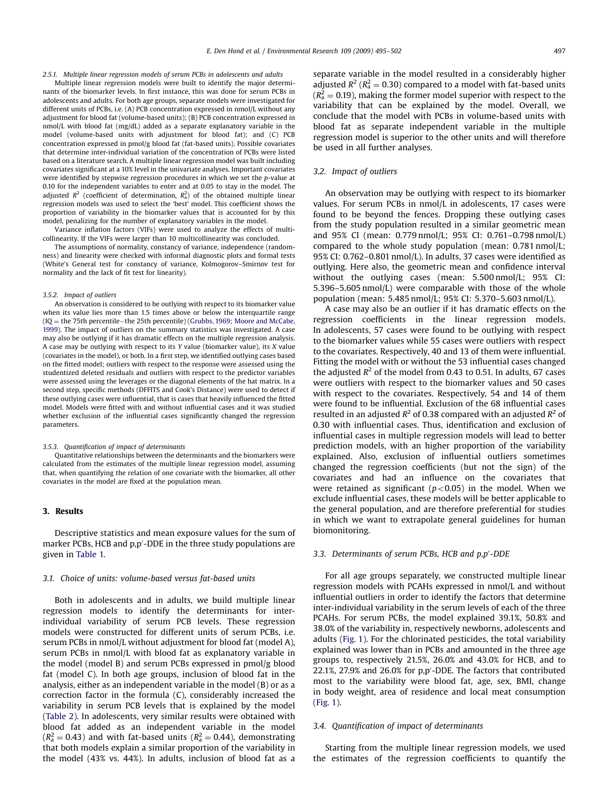2.5.1. Multiple linear regression models of serum PCBs in adolescents and adults

Multiple linear regression models were built to identify the major determinants of the biomarker levels. In first instance, this was done for serum PCBs in adolescents and adults. For both age groups, separate models were investigated for different units of PCBs, i.e. (A) PCB concentration expressed in nmol/L without any adjustment for blood fat (volume-based units); (B) PCB concentration expressed in nmol/L with blood fat (mg/dL) added as a separate explanatory variable in the model (volume-based units with adjustment for blood fat); and (C) PCB concentration expressed in pmol/g blood fat (fat-based units). Possible covariates that determine inter-individual variation of the concentration of PCBs were listed based on a literature search. A multiple linear regression model was built including covariates significant at a 10% level in the univariate analyses. Important covariates were identified by stepwise regression procedures in which we set the p-value at 0.10 for the independent variables to enter and at 0.05 to stay in the model. The adjusted  $R^2$  (coefficient of determination,  $R_a^2$ ) of the obtained multiple linear regression models was used to select the 'best' model. This coefficient shows the proportion of variability in the biomarker values that is accounted for by this model, penalizing for the number of explanatory variables in the model.

Variance inflation factors (VIFs) were used to analyze the effects of multicollinearity. If the VIFs were larger than 10 multicollinearity was concluded.

The assumptions of normality, constancy of variance, independence (randomness) and linearity were checked with informal diagnostic plots and formal tests (White's General test for constancy of variance, Kolmogorov–Smirnov test for normality and the lack of fit test for linearity).

#### 3.5.2. Impact of outliers

An observation is considered to be outlying with respect to its biomarker value when its value lies more than 1.5 times above or below the interquartile range (IQ = the 75th percentile–the 25th percentile) [\(Grubbs, 1969](#page-7-0); [Moore and McCabe,](#page-7-0) [1999\)](#page-7-0). The impact of outliers on the summary statistics was investigated. A case may also be outlying if it has dramatic effects on the multiple regression analysis. A case may be outlying with respect to its Y value (biomarker value), its X value (covariates in the model), or both. In a first step, we identified outlying cases based on the fitted model; outliers with respect to the response were assessed using the studentized deleted residuals and outliers with respect to the predictor variables were assessed using the leverages or the diagonal elements of the hat matrix. In a second step, specific methods (DFFITS and Cook's Distance) were used to detect if these outlying cases were influential, that is cases that heavily influenced the fitted model. Models were fitted with and without influential cases and it was studied whether exclusion of the influential cases significantly changed the regression parameters.

#### 3.5.3. Quantification of impact of determinants

Quantitative relationships between the determinants and the biomarkers were calculated from the estimates of the multiple linear regression model, assuming that, when quantifying the relation of one covariate with the biomarker, all other covariates in the model are fixed at the population mean.

## 3. Results

Descriptive statistics and mean exposure values for the sum of marker PCBs, HCB and p,p'-DDE in the three study populations are given in [Table 1.](#page-3-0)

#### 3.1. Choice of units: volume-based versus fat-based units

Both in adolescents and in adults, we build multiple linear regression models to identify the determinants for interindividual variability of serum PCB levels. These regression models were constructed for different units of serum PCBs, i.e. serum PCBs in nmol/L without adjustment for blood fat (model A), serum PCBs in nmol/L with blood fat as explanatory variable in the model (model B) and serum PCBs expressed in pmol/g blood fat (model C). In both age groups, inclusion of blood fat in the analysis, either as an independent variable in the model (B) or as a correction factor in the formula (C), considerably increased the variability in serum PCB levels that is explained by the model ([Table 2](#page-3-0)). In adolescents, very similar results were obtained with blood fat added as an independent variable in the model  $(R_a^2 = 0.43)$  and with fat-based units  $(R_a^2 = 0.44)$ , demonstrating that both models explain a similar proportion of the variability in the model (43% vs. 44%). In adults, inclusion of blood fat as a separate variable in the model resulted in a considerably higher adjusted  $R^2$  ( $R_a^2 = 0.30$ ) compared to a model with fat-based units  $(R_a^2 = 0.19)$ , making the former model superior with respect to the variability that can be explained by the model. Overall, we conclude that the model with PCBs in volume-based units with blood fat as separate independent variable in the multiple regression model is superior to the other units and will therefore be used in all further analyses.

#### 3.2. Impact of outliers

An observation may be outlying with respect to its biomarker values. For serum PCBs in nmol/L in adolescents, 17 cases were found to be beyond the fences. Dropping these outlying cases from the study population resulted in a similar geometric mean and 95% CI (mean: 0.779 nmol/L; 95% CI: 0.761–0.798 nmol/L) compared to the whole study population (mean: 0.781 nmol/L; 95% CI: 0.762–0.801 nmol/L). In adults, 37 cases were identified as outlying. Here also, the geometric mean and confidence interval without the outlying cases (mean: 5.500 nmol/L; 95% CI: 5.396–5.605 nmol/L) were comparable with those of the whole population (mean: 5.485 nmol/L; 95% CI: 5.370–5.603 nmol/L).

A case may also be an outlier if it has dramatic effects on the regression coefficients in the linear regression models. In adolescents, 57 cases were found to be outlying with respect to the biomarker values while 55 cases were outliers with respect to the covariates. Respectively, 40 and 13 of them were influential. Fitting the model with or without the 53 influential cases changed the adjusted  $R^2$  of the model from 0.43 to 0.51. In adults, 67 cases were outliers with respect to the biomarker values and 50 cases with respect to the covariates. Respectively, 54 and 14 of them were found to be influential. Exclusion of the 68 influential cases resulted in an adjusted  $R^2$  of 0.38 compared with an adjusted  $R^2$  of 0.30 with influential cases. Thus, identification and exclusion of influential cases in multiple regression models will lead to better prediction models, with an higher proportion of the variability explained. Also, exclusion of influential outliers sometimes changed the regression coefficients (but not the sign) of the covariates and had an influence on the covariates that were retained as significant ( $p$ <0.05) in the model. When we exclude influential cases, these models will be better applicable to the general population, and are therefore preferential for studies in which we want to extrapolate general guidelines for human biomonitoring.

## 3.3. Determinants of serum PCBs, HCB and p,p'-DDE

For all age groups separately, we constructed multiple linear regression models with PCAHs expressed in nmol/L and without influential outliers in order to identify the factors that determine inter-individual variability in the serum levels of each of the three PCAHs. For serum PCBs, the model explained 39.1%, 50.8% and 38.0% of the variability in, respectively newborns, adolescents and adults ([Fig. 1](#page-4-0)). For the chlorinated pesticides, the total variability explained was lower than in PCBs and amounted in the three age groups to, respectively 21.5%, 26.0% and 43.0% for HCB, and to  $22.1\%$ ,  $27.9\%$  and  $26.0\%$  for  $p,p'$ -DDE. The factors that contributed most to the variability were blood fat, age, sex, BMI, change in body weight, area of residence and local meat consumption ([Fig. 1\)](#page-4-0).

#### 3.4. Quantification of impact of determinants

Starting from the multiple linear regression models, we used the estimates of the regression coefficients to quantify the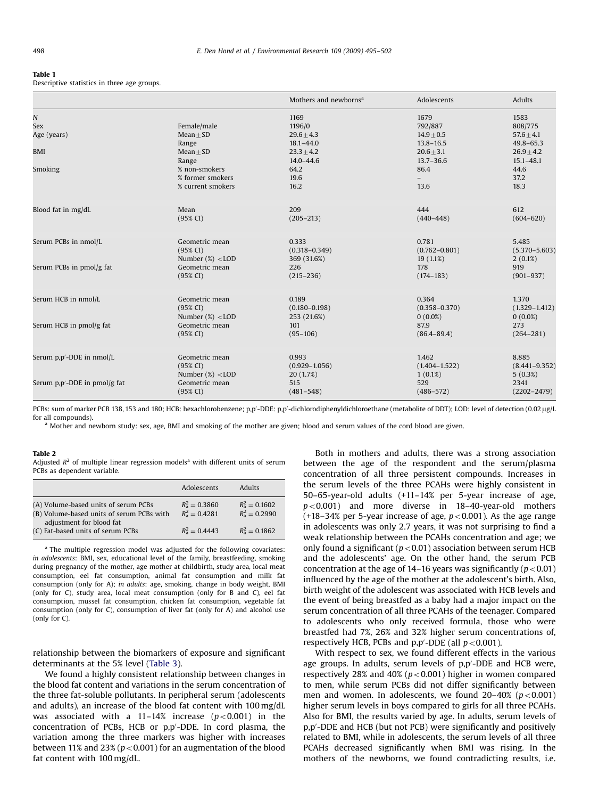#### <span id="page-3-0"></span>Table 1

Descriptive statistics in three age groups.

|                                                                |                                                                                                                       | Mothers and newborns <sup>a</sup>                                                                        | Adolescents                                                                                       | Adults                                                                                                    |
|----------------------------------------------------------------|-----------------------------------------------------------------------------------------------------------------------|----------------------------------------------------------------------------------------------------------|---------------------------------------------------------------------------------------------------|-----------------------------------------------------------------------------------------------------------|
| N<br>Sex<br>Age (years)<br>BMI<br>Smoking                      | Female/male<br>$Mean + SD$<br>Range<br>$Mean + SD$<br>Range<br>% non-smokers<br>% former smokers<br>% current smokers | 1169<br>1196/0<br>$29.6 + 4.3$<br>$18.1 - 44.0$<br>$23.3 + 4.2$<br>$14.0 - 44.6$<br>64.2<br>19.6<br>16.2 | 1679<br>792/887<br>$14.9 + 0.5$<br>$13.8 - 16.5$<br>$20.6 + 3.1$<br>$13.7 - 36.6$<br>86.4<br>13.6 | 1583<br>808/775<br>$57.6 + 4.1$<br>$49.8 - 65.3$<br>$26.9 + 4.2$<br>$15.1 - 48.1$<br>44.6<br>37.2<br>18.3 |
| Blood fat in mg/dL                                             | Mean<br>(95% CI)                                                                                                      | 209<br>$(205 - 213)$                                                                                     | 444<br>$(440 - 448)$                                                                              | 612<br>$(604 - 620)$                                                                                      |
| Serum PCBs in nmol/L<br>Serum PCBs in pmol/g fat               | Geometric mean<br>(95% CI)<br>Number $(\%) <$ LOD<br>Geometric mean<br>(95% CI)                                       | 0.333<br>$(0.318 - 0.349)$<br>369 (31.6%)<br>226<br>$(215 - 236)$                                        | 0.781<br>$(0.762 - 0.801)$<br>19(1.1%)<br>178<br>$(174 - 183)$                                    | 5.485<br>$(5.370 - 5.603)$<br>$2(0.1\%)$<br>919<br>$(901 - 937)$                                          |
| Serum HCB in nmol/L<br>Serum HCB in pmol/g fat                 | Geometric mean<br>(95% CI)<br>Number $(\%) <$ LOD<br>Geometric mean<br>(95% CI)                                       | 0.189<br>$(0.180 - 0.198)$<br>253 (21.6%)<br>101<br>$(95 - 106)$                                         | 0.364<br>$(0.358 - 0.370)$<br>$0(0.0\%)$<br>87.9<br>$(86.4 - 89.4)$                               | 1.370<br>$(1.329 - 1.412)$<br>$0(0.0\%)$<br>273<br>$(264 - 281)$                                          |
| Serum p,p'-DDE in nmol/L<br>Serum $p, p'$ -DDE in $pmol/g$ fat | Geometric mean<br>(95% CI)<br>Number $(\%) <$ LOD<br>Geometric mean<br>(95% CI)                                       | 0.993<br>$(0.929 - 1.056)$<br>20 (1.7%)<br>515<br>$(481 - 548)$                                          | 1.462<br>$(1.404 - 1.522)$<br>1(0.1%)<br>529<br>$(486 - 572)$                                     | 8.885<br>$(8.441 - 9.352)$<br>5(0.3%)<br>2341<br>$(2202 - 2479)$                                          |

PCBs: sum of marker PCB 138, 153 and 180; HCB: hexachlorobenzene; p,p'-DDE: p,p'-dichlorodiphenyldichloroethane (metabolite of DDT); LOD: level of detection (0.02 µg/L for all compounds).

<sup>a</sup> Mother and newborn study: sex, age, BMI and smoking of the mother are given; blood and serum values of the cord blood are given.

## Table 2

Adjusted  $R^2$  of multiple linear regression models<sup>a</sup> with different units of serum PCBs as dependent variable.

|                                                                                                               | Adolescents                          | <b>Adults</b>                        |
|---------------------------------------------------------------------------------------------------------------|--------------------------------------|--------------------------------------|
| (A) Volume-based units of serum PCBs<br>(B) Volume-based units of serum PCBs with<br>adjustment for blood fat | $R_a^2 = 0.3860$<br>$R_3^2 = 0.4281$ | $R_a^2 = 0.1602$<br>$R_a^2 = 0.2990$ |
| (C) Fat-based units of serum PCBs                                                                             | $R_3^2 = 0.4443$                     | $R_a^2 = 0.1862$                     |

<sup>a</sup> The multiple regression model was adjusted for the following covariates: in adolescents: BMI, sex, educational level of the family, breastfeeding, smoking during pregnancy of the mother, age mother at childbirth, study area, local meat consumption, eel fat consumption, animal fat consumption and milk fat consumption (only for A); in adults: age, smoking, change in body weight, BMI (only for C), study area, local meat consumption (only for B and C), eel fat consumption, mussel fat consumption, chicken fat consumption, vegetable fat consumption (only for C), consumption of liver fat (only for A) and alcohol use (only for C).

relationship between the biomarkers of exposure and significant determinants at the 5% level ([Table 3](#page-5-0)).

We found a highly consistent relationship between changes in the blood fat content and variations in the serum concentration of the three fat-soluble pollutants. In peripheral serum (adolescents and adults), an increase of the blood fat content with 100 mg/dL was associated with a 11-14% increase  $(p<0.001)$  in the concentration of PCBs, HCB or p,p'-DDE. In cord plasma, the variation among the three markers was higher with increases between 11% and 23% ( $p < 0.001$ ) for an augmentation of the blood fat content with 100 mg/dL.

Both in mothers and adults, there was a strong association between the age of the respondent and the serum/plasma concentration of all three persistent compounds. Increases in the serum levels of the three PCAHs were highly consistent in 50–65-year-old adults (+11–14% per 5-year increase of age,  $p < 0.001$ ) and more diverse in 18-40-year-old mothers (+18–34% per 5-year increase of age,  $p < 0.001$ ). As the age range in adolescents was only 2.7 years, it was not surprising to find a weak relationship between the PCAHs concentration and age; we only found a significant ( $p<0.01$ ) association between serum HCB and the adolescents' age. On the other hand, the serum PCB concentration at the age of 14–16 years was significantly ( $p < 0.01$ ) influenced by the age of the mother at the adolescent's birth. Also, birth weight of the adolescent was associated with HCB levels and the event of being breastfed as a baby had a major impact on the serum concentration of all three PCAHs of the teenager. Compared to adolescents who only received formula, those who were breastfed had 7%, 26% and 32% higher serum concentrations of, respectively HCB, PCBs and  $p, p'$ -DDE (all  $p < 0.001$ ).

With respect to sex, we found different effects in the various age groups. In adults, serum levels of p,p'-DDE and HCB were, respectively 28% and 40% ( $p < 0.001$ ) higher in women compared to men, while serum PCBs did not differ significantly between men and women. In adolescents, we found  $20-40\%$  ( $p < 0.001$ ) higher serum levels in boys compared to girls for all three PCAHs. Also for BMI, the results varied by age. In adults, serum levels of p,p'-DDE and HCB (but not PCB) were significantly and positively related to BMI, while in adolescents, the serum levels of all three PCAHs decreased significantly when BMI was rising. In the mothers of the newborns, we found contradicting results, i.e.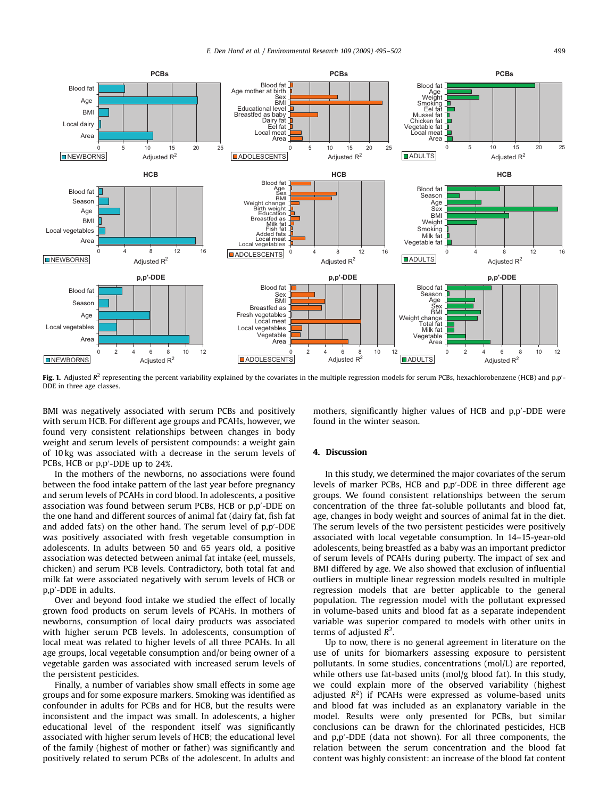<span id="page-4-0"></span>

Fig. 1. Adjusted  $R^2$  representing the percent variability explained by the covariates in the multiple regression models for serum PCBs, hexachlorobenzene (HCB) and p,p'-DDE in three age classes.

BMI was negatively associated with serum PCBs and positively with serum HCB. For different age groups and PCAHs, however, we found very consistent relationships between changes in body weight and serum levels of persistent compounds: a weight gain of 10 kg was associated with a decrease in the serum levels of PCBs, HCB or p,p'-DDE up to 24%.

In the mothers of the newborns, no associations were found between the food intake pattern of the last year before pregnancy and serum levels of PCAHs in cord blood. In adolescents, a positive association was found between serum PCBs, HCB or p,p'-DDE on the one hand and different sources of animal fat (dairy fat, fish fat and added fats) on the other hand. The serum level of p,p'-DDE was positively associated with fresh vegetable consumption in adolescents. In adults between 50 and 65 years old, a positive association was detected between animal fat intake (eel, mussels, chicken) and serum PCB levels. Contradictory, both total fat and milk fat were associated negatively with serum levels of HCB or p,p'-DDE in adults.

Over and beyond food intake we studied the effect of locally grown food products on serum levels of PCAHs. In mothers of newborns, consumption of local dairy products was associated with higher serum PCB levels. In adolescents, consumption of local meat was related to higher levels of all three PCAHs. In all age groups, local vegetable consumption and/or being owner of a vegetable garden was associated with increased serum levels of the persistent pesticides.

Finally, a number of variables show small effects in some age groups and for some exposure markers. Smoking was identified as confounder in adults for PCBs and for HCB, but the results were inconsistent and the impact was small. In adolescents, a higher educational level of the respondent itself was significantly associated with higher serum levels of HCB; the educational level of the family (highest of mother or father) was significantly and positively related to serum PCBs of the adolescent. In adults and

mothers, significantly higher values of HCB and p,p'-DDE were found in the winter season.

#### 4. Discussion

In this study, we determined the major covariates of the serum levels of marker PCBs, HCB and p,p'-DDE in three different age groups. We found consistent relationships between the serum concentration of the three fat-soluble pollutants and blood fat, age, changes in body weight and sources of animal fat in the diet. The serum levels of the two persistent pesticides were positively associated with local vegetable consumption. In 14–15-year-old adolescents, being breastfed as a baby was an important predictor of serum levels of PCAHs during puberty. The impact of sex and BMI differed by age. We also showed that exclusion of influential outliers in multiple linear regression models resulted in multiple regression models that are better applicable to the general population. The regression model with the pollutant expressed in volume-based units and blood fat as a separate independent variable was superior compared to models with other units in terms of adjusted  $R^2$ .

Up to now, there is no general agreement in literature on the use of units for biomarkers assessing exposure to persistent pollutants. In some studies, concentrations (mol/L) are reported, while others use fat-based units (mol/g blood fat). In this study, we could explain more of the observed variability (highest adjusted  $R^2$ ) if PCAHs were expressed as volume-based units and blood fat was included as an explanatory variable in the model. Results were only presented for PCBs, but similar conclusions can be drawn for the chlorinated pesticides, HCB and p,p'-DDE (data not shown). For all three components, the relation between the serum concentration and the blood fat content was highly consistent: an increase of the blood fat content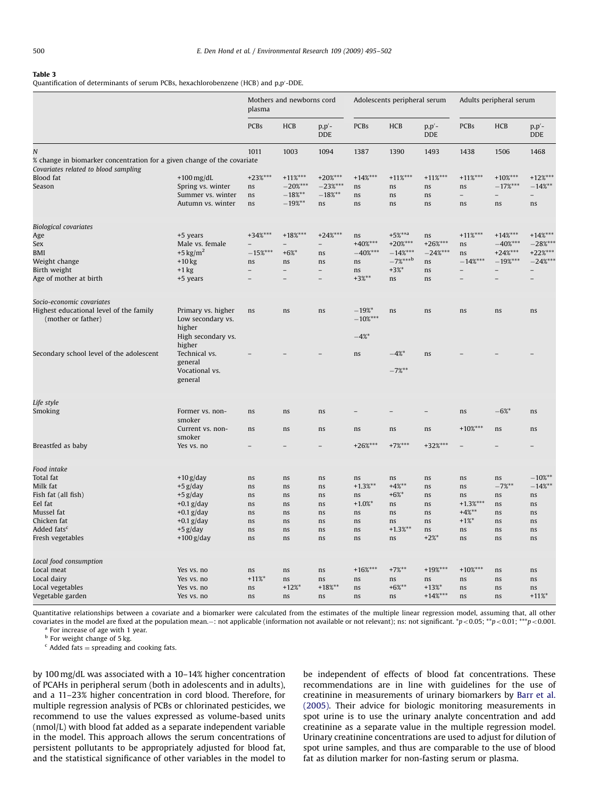#### <span id="page-5-0"></span>Table 3

Quantification of determinants of serum PCBs, hexachlorobenzene (HCB) and p,p'-DDE.

|                                                                                                                                   |                                                                                          | Mothers and newborns cord<br>plasma                                   |                                                                         | Adolescents peripheral serum                                                              |                                                       | Adults peripheral serum                                          |                                                 |                                                        |                                                     |                                                                      |
|-----------------------------------------------------------------------------------------------------------------------------------|------------------------------------------------------------------------------------------|-----------------------------------------------------------------------|-------------------------------------------------------------------------|-------------------------------------------------------------------------------------------|-------------------------------------------------------|------------------------------------------------------------------|-------------------------------------------------|--------------------------------------------------------|-----------------------------------------------------|----------------------------------------------------------------------|
|                                                                                                                                   |                                                                                          | PCBs                                                                  | HCB                                                                     | $p, p'$ -<br><b>DDE</b>                                                                   | <b>PCBs</b>                                           | HCB                                                              | $p, p'$ -<br><b>DDE</b>                         | <b>PCBs</b>                                            | <b>HCB</b>                                          | $p, p'$ -<br><b>DDE</b>                                              |
| $\overline{N}$<br>% change in biomarker concentration for a given change of the covariate<br>Covariates related to blood sampling | 1011                                                                                     | 1003                                                                  | 1094                                                                    | 1387                                                                                      | 1390                                                  | 1493                                                             | 1438                                            | 1506                                                   | 1468                                                |                                                                      |
| <b>Blood</b> fat<br>Season                                                                                                        | $+100$ mg/dL<br>Spring vs. winter<br>Summer vs. winter<br>Autumn vs. winter              | $+23%$ ***<br>ns<br>ns<br>ns                                          | $+11\%^{***}$<br>$-20%$ ***<br>$-18%$ **<br>$-19%^{**}$                 | $+20%***$<br>$-23%***$<br>$-18%$ **<br>ns                                                 | $+14%$ ***<br>ns<br>ns<br>ns                          | $+11\%***$<br>ns<br>ns<br><sub>ns</sub>                          | $+11\%^{***}$<br>ns<br>ns<br>ns                 | $+11%$ ***<br>ns<br>$\qquad \qquad -$<br><sub>ns</sub> | $+10%$ ***<br>$-17%$ ***<br>$\qquad \qquad -$<br>ns | $+12%$ ***<br>$-14%$ **<br>$\overline{\phantom{0}}$<br><sub>ns</sub> |
| <b>Biological covariates</b>                                                                                                      |                                                                                          |                                                                       |                                                                         |                                                                                           |                                                       |                                                                  |                                                 |                                                        |                                                     |                                                                      |
| Age<br>Sex<br>BMI<br>Weight change<br>Birth weight<br>Age of mother at birth                                                      | +5 years<br>Male vs. female<br>$+5$ kg/m <sup>2</sup><br>$+10$ kg<br>$+1$ kg<br>+5 years | $+34%***$<br>$\equiv$<br>$-15%$ ***<br>ns<br>$\overline{\phantom{0}}$ | $+18%$ ***<br>$\overline{a}$<br>$+6%$<br>ns<br>$\overline{\phantom{0}}$ | $+24%$ ***<br>$\overline{\phantom{a}}$<br>ns<br>ns<br>$\qquad \qquad -$<br>$\overline{a}$ | ns<br>$+40%$ ***<br>$-40%***$<br>ns<br>ns<br>$+3%$ ** | $+5%$ **a<br>$+20%***$<br>$-14%$ ***<br>$-7%***b$<br>$+3%$<br>ns | ns<br>$+26%$ ***<br>$-24%***$<br>ns<br>ns<br>ns | $+11\%$ ***<br>ns<br>ns<br>$-14%$ ***                  | $+14%$ ***<br>$-40%***$<br>$+24%$ ***<br>$-19%$ *** | $+14%$ ***<br>$-28%$ ***<br>$+22%***$<br>$-24%***$                   |
| Socio-economic covariates                                                                                                         |                                                                                          |                                                                       |                                                                         |                                                                                           |                                                       |                                                                  |                                                 |                                                        |                                                     |                                                                      |
| Highest educational level of the family<br>(mother or father)                                                                     | Primary vs. higher<br>Low secondary vs.<br>higher<br>High secondary vs.<br>higher        | ns                                                                    | ns                                                                      | ns                                                                                        | $-19%$<br>$-10%$ ***<br>$-4%$                         | ns                                                               | ns                                              | ns                                                     | ns                                                  | ns                                                                   |
| Secondary school level of the adolescent                                                                                          | Technical vs.<br>general<br>Vocational vs.<br>general                                    |                                                                       |                                                                         |                                                                                           | ns                                                    | $-4%$<br>$-7%^{**}$                                              | ns                                              |                                                        |                                                     |                                                                      |
| Life style                                                                                                                        |                                                                                          |                                                                       |                                                                         |                                                                                           |                                                       |                                                                  |                                                 |                                                        |                                                     |                                                                      |
| Smoking                                                                                                                           | Former vs. non-<br>smoker                                                                | ns                                                                    | ns                                                                      | ns                                                                                        |                                                       |                                                                  |                                                 | ns                                                     | $-6%$                                               | <sub>ns</sub>                                                        |
|                                                                                                                                   | Current vs. non-<br>smoker                                                               | ns                                                                    | ns                                                                      | ns                                                                                        | ns                                                    | ns                                                               | ns                                              | $+10%$ ***                                             | ns                                                  | ns                                                                   |
| Breastfed as baby                                                                                                                 | Yes vs. no                                                                               |                                                                       | $\overline{\phantom{0}}$                                                | $\overline{a}$                                                                            | $+26%$ ***                                            | $+7%$ ***                                                        | $+32%***$                                       | $\overline{\phantom{a}}$                               |                                                     |                                                                      |
| Food intake                                                                                                                       |                                                                                          |                                                                       |                                                                         |                                                                                           |                                                       |                                                                  |                                                 |                                                        |                                                     |                                                                      |
| <b>Total</b> fat<br>Milk fat<br>Fish fat (all fish)<br>Eel fat                                                                    | $+10$ g/day<br>$+5$ g/day<br>$+5$ g/day<br>$+0.1$ g/day                                  | ns<br>ns<br>ns<br>ns                                                  | ns<br>ns<br>ns<br>ns                                                    | ns<br>ns<br>ns<br>ns                                                                      | ns<br>$+1.3%$ **<br>ns<br>$+1.0%$                     | ns<br>$+4%$ **<br>$+6%$<br>ns                                    | ns<br>ns<br>ns<br>ns                            | ns<br>ns<br>ns<br>$+1.3%***$                           | ns<br>$-7%^{**}$<br>ns<br>ns                        | $-10%$ **<br>$-14%^{**}$<br>ns<br>ns                                 |
| Mussel fat<br>Chicken fat<br>Added fats <sup>c</sup><br>Fresh vegetables                                                          | $+0.1$ g/day<br>$+0.1$ g/day<br>$+5$ g/day<br>$+100$ g/day                               | ns<br>ns<br>ns<br>ns                                                  | ns<br>ns<br>ns<br>ns                                                    | ns<br>ns<br>ns<br>ns                                                                      | ns<br>ns<br>ns<br>ns                                  | ns<br>ns<br>$+1.3%$ **<br><sub>ns</sub>                          | ns<br>ns<br>ns<br>$+2%$                         | $+4%$ **<br>$+1%$<br>ns<br><sub>ns</sub>               | ns<br>ns<br>ns<br>ns                                | <sub>ns</sub><br><sub>ns</sub><br>ns<br>ns                           |
| Local food consumption                                                                                                            |                                                                                          |                                                                       |                                                                         |                                                                                           |                                                       |                                                                  |                                                 |                                                        |                                                     |                                                                      |
| Local meat<br>Local dairy<br>Local vegetables<br>Vegetable garden                                                                 | Yes vs. no<br>Yes vs. no<br>Yes vs. no<br>Yes vs. no                                     | ns<br>$+11\%$ *<br>ns<br>ns                                           | ns<br>ns<br>$+12%$<br>ns                                                | ns<br>ns<br>$+18%$ **<br>ns                                                               | $+16%$ ***<br>ns<br>ns<br>ns                          | $+7%$ **<br>ns<br>$+6%$ **<br>ns                                 | $+19%***$<br>ns<br>$+13%$<br>$+14\%^{***}$      | $+10%$ ***<br>ns<br>ns<br>ns                           | ns<br>ns<br>ns<br>ns                                | ns<br><sub>ns</sub><br><sub>ns</sub><br>$+11\%$ *                    |

Quantitative relationships between a covariate and a biomarker were calculated from the estimates of the multiple linear regression model, assuming that, all other covariates in the model are fixed at the population mean.—: not applicable (information not available or not relevant); ns: not significant. \*p<0.05; \*\*p<0.01; \*\*\*p<0.001.<br><sup>a</sup> For increase of age with 1 year.

<sup>a</sup> For increase of age with 1 year.<br><sup>b</sup> For weight change of 5 kg.

 $c$  Added fats = spreading and cooking fats.

by 100 mg/dL was associated with a 10–14% higher concentration of PCAHs in peripheral serum (both in adolescents and in adults), and a 11–23% higher concentration in cord blood. Therefore, for multiple regression analysis of PCBs or chlorinated pesticides, we recommend to use the values expressed as volume-based units (nmol/L) with blood fat added as a separate independent variable in the model. This approach allows the serum concentrations of persistent pollutants to be appropriately adjusted for blood fat, and the statistical significance of other variables in the model to be independent of effects of blood fat concentrations. These recommendations are in line with guidelines for the use of creatinine in measurements of urinary biomarkers by [Barr et al.](#page-7-0) [\(2005\)](#page-7-0). Their advice for biologic monitoring measurements in spot urine is to use the urinary analyte concentration and add creatinine as a separate value in the multiple regression model. Urinary creatinine concentrations are used to adjust for dilution of spot urine samples, and thus are comparable to the use of blood fat as dilution marker for non-fasting serum or plasma.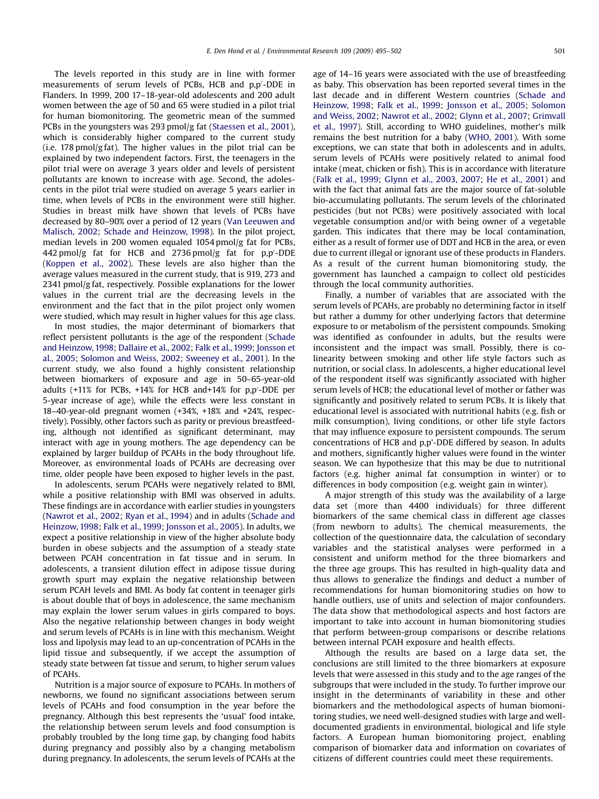The levels reported in this study are in line with former measurements of serum levels of PCBs, HCB and p,p'-DDE in Flanders. In 1999, 200 17–18-year-old adolescents and 200 adult women between the age of 50 and 65 were studied in a pilot trial for human biomonitoring. The geometric mean of the summed PCBs in the youngsters was 293 pmol/g fat [\(Staessen et al., 2001\)](#page-7-0), which is considerably higher compared to the current study (i.e. 178 pmol/g fat). The higher values in the pilot trial can be explained by two independent factors. First, the teenagers in the pilot trial were on average 3 years older and levels of persistent pollutants are known to increase with age. Second, the adolescents in the pilot trial were studied on average 5 years earlier in time, when levels of PCBs in the environment were still higher. Studies in breast milk have shown that levels of PCBs have decreased by 80–90% over a period of 12 years ([Van Leeuwen and](#page-7-0) [Malisch, 2002](#page-7-0); [Schade and Heinzow, 1998](#page-7-0)). In the pilot project, median levels in 200 women equaled 1054 pmol/g fat for PCBs,  $442$  pmol/g fat for HCB and 2736 pmol/g fat for  $p, p'$ -DDE ([Koppen et al., 2002](#page-7-0)). These levels are also higher than the average values measured in the current study, that is 919, 273 and 2341 pmol/g fat, respectively. Possible explanations for the lower values in the current trial are the decreasing levels in the environment and the fact that in the pilot project only women were studied, which may result in higher values for this age class.

In most studies, the major determinant of biomarkers that reflect persistent pollutants is the age of the respondent [\(Schade](#page-7-0) [and Heinzow, 1998;](#page-7-0) [Dallaire et al., 2002](#page-7-0); [Falk et al., 1999;](#page-7-0) [Jonsson et](#page-7-0) [al., 2005;](#page-7-0) [Solomon and Weiss, 2002](#page-7-0); [Sweeney et al., 2001](#page-7-0)). In the current study, we also found a highly consistent relationship between biomarkers of exposure and age in 50–65-year-old adults  $(+11\%$  for PCBs,  $+14\%$  for HCB and $+14\%$  for  $p, p'$ -DDE per 5-year increase of age), while the effects were less constant in 18–40-year-old pregnant women (+34%, +18% and +24%, respectively). Possibly, other factors such as parity or previous breastfeeding, although not identified as significant determinant, may interact with age in young mothers. The age dependency can be explained by larger buildup of PCAHs in the body throughout life. Moreover, as environmental loads of PCAHs are decreasing over time, older people have been exposed to higher levels in the past.

In adolescents, serum PCAHs were negatively related to BMI, while a positive relationship with BMI was observed in adults. These findings are in accordance with earlier studies in youngsters ([Nawrot et al., 2002](#page-7-0); [Ryan et al., 1994\)](#page-7-0) and in adults ([Schade and](#page-7-0) [Heinzow, 1998](#page-7-0); [Falk et al., 1999;](#page-7-0) [Jonsson et al., 2005](#page-7-0)). In adults, we expect a positive relationship in view of the higher absolute body burden in obese subjects and the assumption of a steady state between PCAH concentration in fat tissue and in serum. In adolescents, a transient dilution effect in adipose tissue during growth spurt may explain the negative relationship between serum PCAH levels and BMI. As body fat content in teenager girls is about double that of boys in adolescence, the same mechanism may explain the lower serum values in girls compared to boys. Also the negative relationship between changes in body weight and serum levels of PCAHs is in line with this mechanism. Weight loss and lipolysis may lead to an up-concentration of PCAHs in the lipid tissue and subsequently, if we accept the assumption of steady state between fat tissue and serum, to higher serum values of PCAHs.

Nutrition is a major source of exposure to PCAHs. In mothers of newborns, we found no significant associations between serum levels of PCAHs and food consumption in the year before the pregnancy. Although this best represents the 'usual' food intake, the relationship between serum levels and food consumption is probably troubled by the long time gap, by changing food habits during pregnancy and possibly also by a changing metabolism during pregnancy. In adolescents, the serum levels of PCAHs at the

age of 14–16 years were associated with the use of breastfeeding as baby. This observation has been reported several times in the last decade and in different Western countries [\(Schade and](#page-7-0) [Heinzow, 1998;](#page-7-0) [Falk et al., 1999](#page-7-0); [Jonsson et al., 2005](#page-7-0); [Solomon](#page-7-0) [and Weiss, 2002](#page-7-0); [Nawrot et al., 2002](#page-7-0); [Glynn et al., 2007;](#page-7-0) [Grimvall](#page-7-0) [et al., 1997\)](#page-7-0). Still, according to WHO guidelines, mother's milk remains the best nutrition for a baby ([WHO, 2001](#page-7-0)). With some exceptions, we can state that both in adolescents and in adults, serum levels of PCAHs were positively related to animal food intake (meat, chicken or fish). This is in accordance with literature ([Falk et al., 1999](#page-7-0); [Glynn et al., 2003, 2007;](#page-7-0) [He et al., 2001\)](#page-7-0) and with the fact that animal fats are the major source of fat-soluble bio-accumulating pollutants. The serum levels of the chlorinated pesticides (but not PCBs) were positively associated with local vegetable consumption and/or with being owner of a vegetable garden. This indicates that there may be local contamination, either as a result of former use of DDT and HCB in the area, or even due to current illegal or ignorant use of these products in Flanders. As a result of the current human biomonitoring study, the government has launched a campaign to collect old pesticides through the local community authorities.

Finally, a number of variables that are associated with the serum levels of PCAHs, are probably no determining factor in itself but rather a dummy for other underlying factors that determine exposure to or metabolism of the persistent compounds. Smoking was identified as confounder in adults, but the results were inconsistent and the impact was small. Possibly, there is colinearity between smoking and other life style factors such as nutrition, or social class. In adolescents, a higher educational level of the respondent itself was significantly associated with higher serum levels of HCB; the educational level of mother or father was significantly and positively related to serum PCBs. It is likely that educational level is associated with nutritional habits (e.g. fish or milk consumption), living conditions, or other life style factors that may influence exposure to persistent compounds. The serum concentrations of HCB and p,p'-DDE differed by season. In adults and mothers, significantly higher values were found in the winter season. We can hypothesize that this may be due to nutritional factors (e.g. higher animal fat consumption in winter) or to differences in body composition (e.g. weight gain in winter).

A major strength of this study was the availability of a large data set (more than 4400 individuals) for three different biomarkers of the same chemical class in different age classes (from newborn to adults). The chemical measurements, the collection of the questionnaire data, the calculation of secondary variables and the statistical analyses were performed in a consistent and uniform method for the three biomarkers and the three age groups. This has resulted in high-quality data and thus allows to generalize the findings and deduct a number of recommendations for human biomonitoring studies on how to handle outliers, use of units and selection of major confounders. The data show that methodological aspects and host factors are important to take into account in human biomonitoring studies that perform between-group comparisons or describe relations between internal PCAH exposure and health effects.

Although the results are based on a large data set, the conclusions are still limited to the three biomarkers at exposure levels that were assessed in this study and to the age ranges of the subgroups that were included in the study. To further improve our insight in the determinants of variability in these and other biomarkers and the methodological aspects of human biomonitoring studies, we need well-designed studies with large and welldocumented gradients in environmental, biological and life style factors. A European human biomonitoring project, enabling comparison of biomarker data and information on covariates of citizens of different countries could meet these requirements.